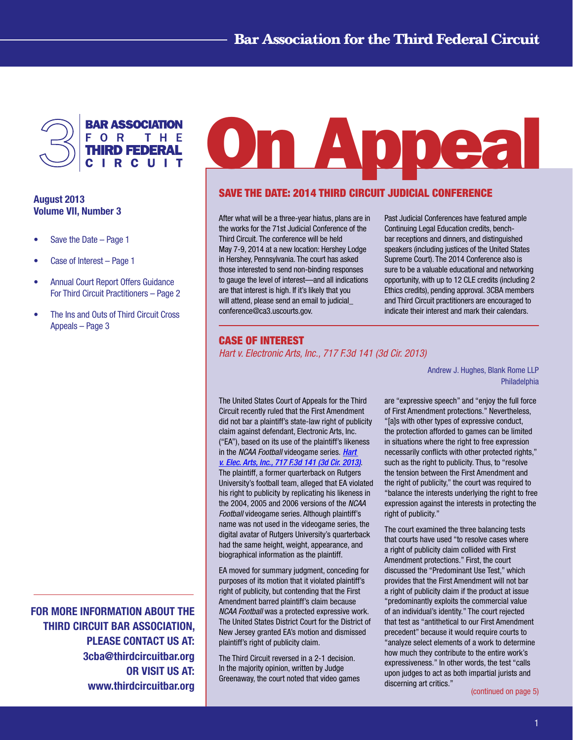

# August 2013 Volume VII, Number 3

- Save the Date  $-$  Page 1
- Case of Interest Page 1
- • Annual Court Report Offers Guidance For Third Circuit Practitioners – Page 2
- The Ins and Outs of Third Circuit Cross Appeals – Page 3

FOR MORE INFORMATION ABOUT THE THIRD CIRCUIT BAR ASSOCIATION, PLEASE CONTACT US AT: 3cba@thirdcircuitbar.org OR VISIT US AT: www.thirdcircuitbar.org

# On Appea

# Save the Date: 2014 Third Circuit Judicial Conference

After what will be a three-year hiatus, plans are in the works for the 71st Judicial Conference of the Third Circuit. The conference will be held May 7-9, 2014 at a new location: Hershey Lodge in Hershey, Pennsylvania. The court has asked those interested to send non-binding responses to gauge the level of interest—and all indications are that interest is high. If it's likely that you will attend, please send an email to judicial conference@ca3.uscourts.gov.

Past Judicial Conferences have featured ample Continuing Legal Education credits, benchbar receptions and dinners, and distinguished speakers (including justices of the United States Supreme Court). The 2014 Conference also is sure to be a valuable educational and networking opportunity, with up to 12 CLE credits (including 2 Ethics credits), pending approval. 3CBA members and Third Circuit practitioners are encouraged to indicate their interest and mark their calendars.

## Case of Interest

*Hart v. Electronic Arts, Inc., 717 F.3d 141 (3d Cir. 2013)*

The United States Court of Appeals for the Third Circuit recently ruled that the First Amendment did not bar a plaintiff's state-law right of publicity claim against defendant, Electronic Arts, Inc. ("EA"), based on its use of the plaintiff's likeness in the *NCAA Football* videogame series. *[Hart](http://www2.ca3.uscourts.gov/opinarch/113750p.pdf)  [v. Elec. Arts, Inc., 717 F.3d 141 \(3d Cir. 2013\)](http://www2.ca3.uscourts.gov/opinarch/113750p.pdf)*. The plaintiff, a former quarterback on Rutgers University's football team, alleged that EA violated his right to publicity by replicating his likeness in the 2004, 2005 and 2006 versions of the *NCAA Football* videogame series. Although plaintiff's name was not used in the videogame series, the digital avatar of Rutgers University's quarterback had the same height, weight, appearance, and biographical information as the plaintiff.

EA moved for summary judgment, conceding for purposes of its motion that it violated plaintiff's right of publicity, but contending that the First Amendment barred plaintiff's claim because *NCAA Football* was a protected expressive work. The United States District Court for the District of New Jersey granted EA's motion and dismissed plaintiff's right of publicity claim.

The Third Circuit reversed in a 2-1 decision. In the majority opinion, written by Judge Greenaway, the court noted that video games Andrew J. Hughes, Blank Rome LLP Philadelphia

are "expressive speech" and "enjoy the full force of First Amendment protections." Nevertheless, "[a]s with other types of expressive conduct, the protection afforded to games can be limited in situations where the right to free expression necessarily conflicts with other protected rights," such as the right to publicity. Thus, to "resolve the tension between the First Amendment and the right of publicity," the court was required to "balance the interests underlying the right to free expression against the interests in protecting the right of publicity."

The court examined the three balancing tests that courts have used "to resolve cases where a right of publicity claim collided with First Amendment protections." First, the court discussed the "Predominant Use Test," which provides that the First Amendment will not bar a right of publicity claim if the product at issue "predominantly exploits the commercial value of an individual's identity." The court rejected that test as "antithetical to our First Amendment precedent" because it would require courts to "analyze select elements of a work to determine how much they contribute to the entire work's expressiveness." In other words, the test "calls upon judges to act as both impartial jurists and discerning art critics."

[\(continued on page 5\)](#page-4-0)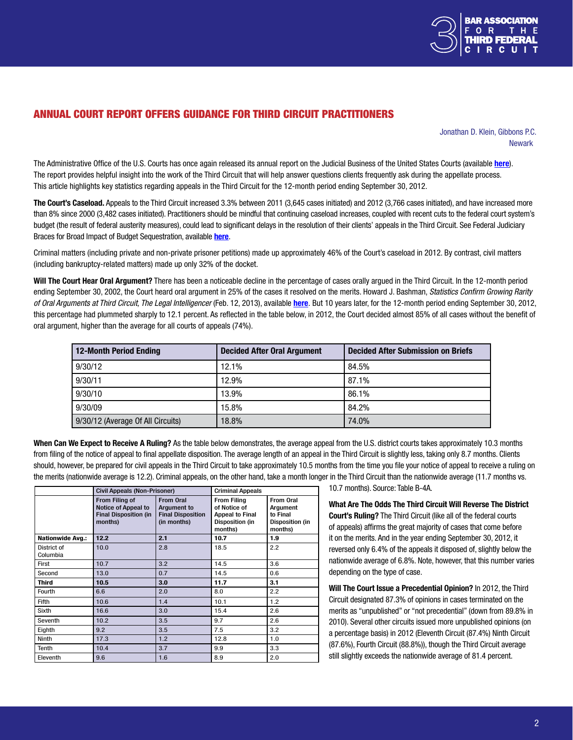

# ANNUAL COURT REPORT OFFERS GUIDANCE FOR THIRD CIRCUIT PRACTITIONERS

 Jonathan D. Klein, Gibbons P.C. newark and the contract of the contract of the contract of the contract of the contract of the contract of the

The Administrative Office of the U.S. Courts has once again released its annual report on the Judicial Business of the United States Courts (available [here](http://www.uscourts.gov/Statistics/JudicialBusiness/2012/us-courts-of-appeals.aspx)). The report provides helpful insight into the work of the Third Circuit that will help answer questions clients frequently ask during the appellate process. This article highlights key statistics regarding appeals in the Third Circuit for the 12-month period ending September 30, 2012.

The Court's Caseload. Appeals to the Third Circuit increased 3.3% between 2011 (3,645 cases initiated) and 2012 (3,766 cases initiated), and have increased more than 8% since 2000 (3,482 cases initiated). Practitioners should be mindful that continuing caseload increases, coupled with recent cuts to the federal court system's budget (the result of federal austerity measures), could lead to significant delays in the resolution of their clients' appeals in the Third Circuit. See Federal Judiciary Braces for Broad Impact of Budget Sequestration, available [here](http://news.uscourts.gov/federal-judiciary-braces-broad-impact-budget-sequestration).

Criminal matters (including private and non-private prisoner petitions) made up approximately 46% of the Court's caseload in 2012. By contrast, civil matters (including bankruptcy-related matters) made up only 32% of the docket.

Will The Court Hear Oral Argument? There has been a noticeable decline in the percentage of cases orally argued in the Third Circuit. In the 12-month period ending September 30, 2002, the Court heard oral argument in 25% of the cases it resolved on the merits. Howard J. Bashman, *Statistics Confirm Growing Rarity of Oral Arguments at Third Circuit, The Legal Intelligencer* (Feb. 12, 2013), available [here](http://www.law.com/jsp/pa/PubArticlePA.jsp?id=1202587821868). But 10 years later, for the 12-month period ending September 30, 2012, this percentage had plummeted sharply to 12.1 percent. As reflected in the table below, in 2012, the Court decided almost 85% of all cases without the benefit of oral argument, higher than the average for all courts of appeals (74%).

| <b>12-Month Period Ending</b>     | <b>Decided After Oral Argument</b> | <b>Decided After Submission on Briefs</b> |
|-----------------------------------|------------------------------------|-------------------------------------------|
| 9/30/12                           | 12.1%                              | 84.5%                                     |
| 9/30/11                           | 12.9%                              | 87.1%                                     |
| 9/30/10                           | 13.9%                              | 86.1%                                     |
| 9/30/09                           | 15.8%                              | 84.2%                                     |
| 9/30/12 (Average Of All Circuits) | 18.8%                              | 74.0%                                     |

When Can We Expect to Receive A Ruling? As the table below demonstrates, the average appeal from the U.S. district courts takes approximately 10.3 months from filing of the notice of appeal to final appellate disposition. The average length of an appeal in the Third Circuit is slightly less, taking only 8.7 months. Clients should, however, be prepared for civil appeals in the Third Circuit to take approximately 10.5 months from the time you file your notice of appeal to receive a ruling on the merits (nationwide average is 12.2). Criminal appeals, on the other hand, take a month longer in the Third Circuit than the nationwide average (11.7 months vs.

|                         | <b>Civil Appeals (Non-Prisoner)</b>                                                     |                                                                                   | <b>Criminal Appeals</b>                                                                           |                                                                        |
|-------------------------|-----------------------------------------------------------------------------------------|-----------------------------------------------------------------------------------|---------------------------------------------------------------------------------------------------|------------------------------------------------------------------------|
|                         | From Filing of<br><b>Notice of Appeal to</b><br><b>Final Disposition (in</b><br>months) | <b>From Oral</b><br><b>Argument to</b><br><b>Final Disposition</b><br>(in months) | <b>From Filing</b><br>of Notice of<br><b>Appeal to Final</b><br><b>Disposition (in</b><br>months) | From Oral<br>Argument<br>to Final<br><b>Disposition (in</b><br>months) |
| <b>Nationwide Avg.:</b> | 12.2                                                                                    | 2.1                                                                               | 10.7                                                                                              | 1.9                                                                    |
| District of<br>Columbia | 10.0                                                                                    | 2.8                                                                               | 18.5                                                                                              | 2.2                                                                    |
| First                   | 10.7                                                                                    | 3.2                                                                               | 14.5                                                                                              | 3.6                                                                    |
| Second                  | 13.0                                                                                    | 0.7                                                                               | 14.5                                                                                              | 0.6                                                                    |
| <b>Third</b>            | 10.5                                                                                    | 3.0                                                                               | 11.7                                                                                              | 3.1                                                                    |
| Fourth                  | 6.6                                                                                     | 2.0                                                                               | 8.0                                                                                               | $2.2^{\circ}$                                                          |
| Fifth                   | 10.6                                                                                    | 1.4                                                                               | 10.1                                                                                              | 1.2                                                                    |
| Sixth                   | 16.6                                                                                    | 3.0                                                                               | 15.4                                                                                              | 2.6                                                                    |
| Seventh                 | 10.2                                                                                    | 3.5                                                                               | 9.7                                                                                               | 2.6                                                                    |
| Eighth                  | 9.2                                                                                     | 3.5                                                                               | 7.5                                                                                               | 3.2                                                                    |
| Ninth                   | 17.3                                                                                    | 1.2                                                                               | 12.8                                                                                              | 1.0                                                                    |
| Tenth                   | 10.4                                                                                    | 3.7                                                                               | 9.9                                                                                               | 3.3                                                                    |
| Eleventh                | 9.6                                                                                     | 1.6                                                                               | 8.9                                                                                               | 2.0                                                                    |

10.7 months). Source: Table B-4A.

What Are The Odds The Third Circuit Will Reverse The District Court's Ruling? The Third Circuit (like all of the federal courts of appeals) affirms the great majority of cases that come before it on the merits. And in the year ending September 30, 2012, it reversed only 6.4% of the appeals it disposed of, slightly below the nationwide average of 6.8%. Note, however, that this number varies depending on the type of case.

Will The Court Issue a Precedential Opinion? In 2012, the Third Circuit designated 87.3% of opinions in cases terminated on the merits as "unpublished" or "not precedential" (down from 89.8% in 2010). Several other circuits issued more unpublished opinions (on a percentage basis) in 2012 (Eleventh Circuit (87.4%) Ninth Circuit (87.6%), Fourth Circuit (88.8%)), though the Third Circuit average still slightly exceeds the nationwide average of 81.4 percent.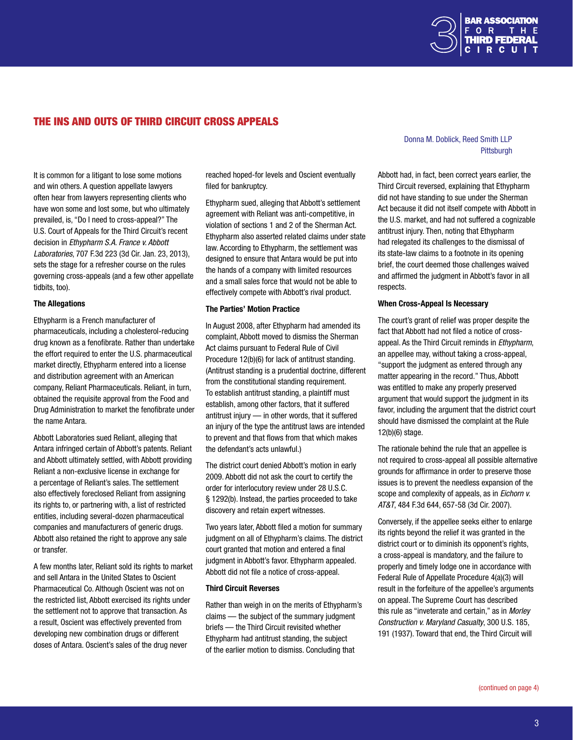

# The Ins and Outs of Third Circuit Cross Appeals

It is common for a litigant to lose some motions and win others. A question appellate lawyers often hear from lawyers representing clients who have won some and lost some, but who ultimately prevailed, is, "Do I need to cross-appeal?" The U.S. Court of Appeals for the Third Circuit's recent decision in *Ethypharm S.A. France v. Abbott Laboratories*, 707 F.3d 223 (3d Cir. Jan. 23, 2013), sets the stage for a refresher course on the rules governing cross-appeals (and a few other appellate tidbits, too).

#### The Allegations

Ethypharm is a French manufacturer of pharmaceuticals, including a cholesterol-reducing drug known as a fenofibrate. Rather than undertake the effort required to enter the U.S. pharmaceutical market directly, Ethypharm entered into a license and distribution agreement with an American company, Reliant Pharmaceuticals. Reliant, in turn, obtained the requisite approval from the Food and Drug Administration to market the fenofibrate under the name Antara.

Abbott Laboratories sued Reliant, alleging that Antara infringed certain of Abbott's patents. Reliant and Abbott ultimately settled, with Abbott providing Reliant a non-exclusive license in exchange for a percentage of Reliant's sales. The settlement also effectively foreclosed Reliant from assigning its rights to, or partnering with, a list of restricted entities, including several-dozen pharmaceutical companies and manufacturers of generic drugs. Abbott also retained the right to approve any sale or transfer.

A few months later, Reliant sold its rights to market and sell Antara in the United States to Oscient Pharmaceutical Co. Although Oscient was not on the restricted list, Abbott exercised its rights under the settlement not to approve that transaction. As a result, Oscient was effectively prevented from developing new combination drugs or different doses of Antara. Oscient's sales of the drug never

reached hoped-for levels and Oscient eventually filed for bankruptcy.

Ethypharm sued, alleging that Abbott's settlement agreement with Reliant was anti-competitive, in violation of sections 1 and 2 of the Sherman Act. Ethypharm also asserted related claims under state law. According to Ethypharm, the settlement was designed to ensure that Antara would be put into the hands of a company with limited resources and a small sales force that would not be able to effectively compete with Abbott's rival product.

#### The Parties' Motion Practice

In August 2008, after Ethypharm had amended its complaint, Abbott moved to dismiss the Sherman Act claims pursuant to Federal Rule of Civil Procedure 12(b)(6) for lack of antitrust standing. (Antitrust standing is a prudential doctrine, different from the constitutional standing requirement. To establish antitrust standing, a plaintiff must establish, among other factors, that it suffered antitrust injury — in other words, that it suffered an injury of the type the antitrust laws are intended to prevent and that flows from that which makes the defendant's acts unlawful.)

The district court denied Abbott's motion in early 2009. Abbott did not ask the court to certify the order for interlocutory review under 28 U.S.C. § 1292(b). Instead, the parties proceeded to take discovery and retain expert witnesses.

Two years later, Abbott filed a motion for summary judgment on all of Ethypharm's claims. The district court granted that motion and entered a final judgment in Abbott's favor. Ethypharm appealed. Abbott did not file a notice of cross-appeal.

#### Third Circuit Reverses

Rather than weigh in on the merits of Ethypharm's claims — the subject of the summary judgment briefs — the Third Circuit revisited whether Ethypharm had antitrust standing, the subject of the earlier motion to dismiss. Concluding that

#### Donna M. Doblick, Reed Smith LLP en de la provincia de la provincia de la provincia de la provincia de la provincia de la provincia de la provi

Abbott had, in fact, been correct years earlier, the Third Circuit reversed, explaining that Ethypharm did not have standing to sue under the Sherman Act because it did not itself compete with Abbott in the U.S. market, and had not suffered a cognizable antitrust injury. Then, noting that Ethypharm had relegated its challenges to the dismissal of its state-law claims to a footnote in its opening brief, the court deemed those challenges waived and affirmed the judgment in Abbott's favor in all respects.

#### When Cross-Appeal Is Necessary

The court's grant of relief was proper despite the fact that Abbott had not filed a notice of crossappeal. As the Third Circuit reminds in *Ethypharm*, an appellee may, without taking a cross-appeal, "support the judgment as entered through any matter appearing in the record." Thus, Abbott was entitled to make any properly preserved argument that would support the judgment in its favor, including the argument that the district court should have dismissed the complaint at the Rule 12(b)(6) stage.

The rationale behind the rule that an appellee is not required to cross-appeal all possible alternative grounds for affirmance in order to preserve those issues is to prevent the needless expansion of the scope and complexity of appeals, as in *Eichorn v. AT&T*, 484 F.3d 644, 657-58 (3d Cir. 2007).

Conversely, if the appellee seeks either to enlarge its rights beyond the relief it was granted in the district court or to diminish its opponent's rights, a cross-appeal is mandatory, and the failure to properly and timely lodge one in accordance with Federal Rule of Appellate Procedure 4(a)(3) will result in the forfeiture of the appellee's arguments on appeal. The Supreme Court has described this rule as "inveterate and certain," as in *Morley Construction v. Maryland Casualty*, 300 U.S. 185, 191 (1937). Toward that end, the Third Circuit will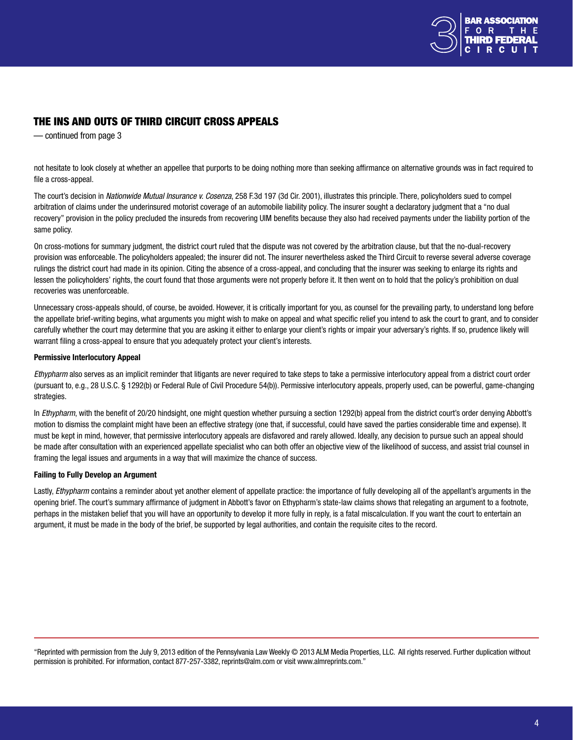

# <span id="page-3-0"></span>The Ins and Outs of Third Circuit Cross Appeals

— continued from page 3

not hesitate to look closely at whether an appellee that purports to be doing nothing more than seeking affirmance on alternative grounds was in fact required to file a cross-appeal.

The court's decision in *Nationwide Mutual Insurance v. Cosenza*, 258 F.3d 197 (3d Cir. 2001), illustrates this principle. There, policyholders sued to compel arbitration of claims under the underinsured motorist coverage of an automobile liability policy. The insurer sought a declaratory judgment that a "no dual recovery" provision in the policy precluded the insureds from recovering UIM benefits because they also had received payments under the liability portion of the same policy.

On cross-motions for summary judgment, the district court ruled that the dispute was not covered by the arbitration clause, but that the no-dual-recovery provision was enforceable. The policyholders appealed; the insurer did not. The insurer nevertheless asked the Third Circuit to reverse several adverse coverage rulings the district court had made in its opinion. Citing the absence of a cross-appeal, and concluding that the insurer was seeking to enlarge its rights and lessen the policyholders' rights, the court found that those arguments were not properly before it. It then went on to hold that the policy's prohibition on dual recoveries was unenforceable.

Unnecessary cross-appeals should, of course, be avoided. However, it is critically important for you, as counsel for the prevailing party, to understand long before the appellate brief-writing begins, what arguments you might wish to make on appeal and what specific relief you intend to ask the court to grant, and to consider carefully whether the court may determine that you are asking it either to enlarge your client's rights or impair your adversary's rights. If so, prudence likely will warrant filing a cross-appeal to ensure that you adequately protect your client's interests.

#### Permissive Interlocutory Appeal

*Ethypharm* also serves as an implicit reminder that litigants are never required to take steps to take a permissive interlocutory appeal from a district court order (pursuant to, e.g., 28 U.S.C. § 1292(b) or Federal Rule of Civil Procedure 54(b)). Permissive interlocutory appeals, properly used, can be powerful, game-changing strategies.

In *Ethypharm*, with the benefit of 20/20 hindsight, one might question whether pursuing a section 1292(b) appeal from the district court's order denying Abbott's motion to dismiss the complaint might have been an effective strategy (one that, if successful, could have saved the parties considerable time and expense). It must be kept in mind, however, that permissive interlocutory appeals are disfavored and rarely allowed. Ideally, any decision to pursue such an appeal should be made after consultation with an experienced appellate specialist who can both offer an objective view of the likelihood of success, and assist trial counsel in framing the legal issues and arguments in a way that will maximize the chance of success.

#### Failing to Fully Develop an Argument

Lastly, *Ethypharm* contains a reminder about yet another element of appellate practice: the importance of fully developing all of the appellant's arguments in the opening brief. The court's summary affirmance of judgment in Abbott's favor on Ethypharm's state-law claims shows that relegating an argument to a footnote, perhaps in the mistaken belief that you will have an opportunity to develop it more fully in reply, is a fatal miscalculation. If you want the court to entertain an argument, it must be made in the body of the brief, be supported by legal authorities, and contain the requisite cites to the record.

"Reprinted with permission from the July 9, 2013 edition of the Pennsylvania Law Weekly © 2013 ALM Media Properties, LLC. All rights reserved. Further duplication without permission is prohibited. For information, contact 877-257-3382, reprints@alm.com or visit www.almreprints.com."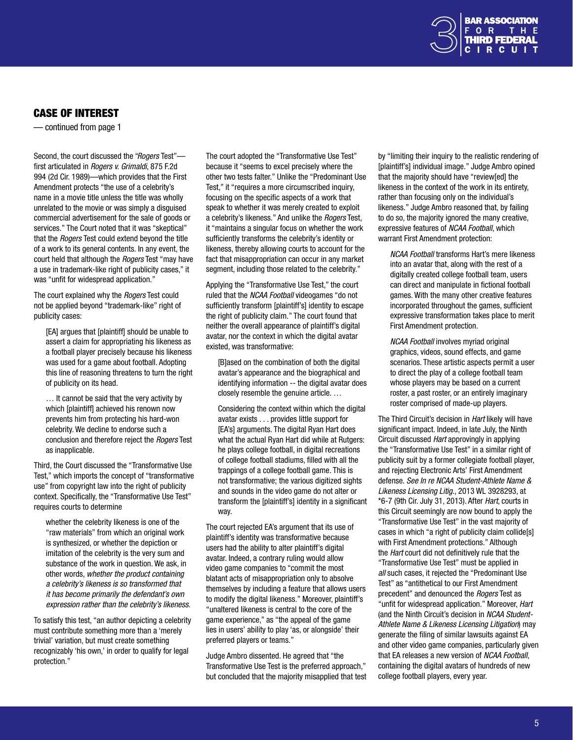

# <span id="page-4-0"></span>Case of Interest

— continued from page 1

Second, the court discussed the "*Rogers* Test" first articulated in *Rogers v. Grimaldi*, 875 F.2d 994 (2d Cir. 1989)—which provides that the First Amendment protects "the use of a celebrity's name in a movie title unless the title was wholly unrelated to the movie or was simply a disguised commercial advertisement for the sale of goods or services." The Court noted that it was "skeptical" that the *Rogers* Test could extend beyond the title of a work to its general contents. In any event, the court held that although the *Rogers* Test "may have a use in trademark-like right of publicity cases," it was "unfit for widespread application."

The court explained why the *Rogers* Test could not be applied beyond "trademark-like" right of publicity cases:

[EA] argues that [plaintiff] should be unable to assert a claim for appropriating his likeness as a football player precisely because his likeness was used for a game about football. Adopting this line of reasoning threatens to turn the right of publicity on its head.

… It cannot be said that the very activity by which [plaintiff] achieved his renown now prevents him from protecting his hard-won celebrity. We decline to endorse such a conclusion and therefore reject the *Rogers* Test as inapplicable.

Third, the Court discussed the "Transformative Use Test," which imports the concept of "transformative use" from copyright law into the right of publicity context. Specifically, the "Transformative Use Test" requires courts to determine

whether the celebrity likeness is one of the "raw materials" from which an original work is synthesized, or whether the depiction or imitation of the celebrity is the very sum and substance of the work in question. We ask, in other words, *whether the product containing a celebrity's likeness is so transformed that it has become primarily the defendant's own expression rather than the celebrity's likeness*.

To satisfy this test, "an author depicting a celebrity must contribute something more than a 'merely trivial' variation, but must create something recognizably 'his own,' in order to qualify for legal protection."

The court adopted the "Transformative Use Test" because it "seems to excel precisely where the other two tests falter." Unlike the "Predominant Use Test," it "requires a more circumscribed inquiry, focusing on the specific aspects of a work that speak to whether it was merely created to exploit a celebrity's likeness." And unlike the *Rogers* Test, it "maintains a singular focus on whether the work sufficiently transforms the celebrity's identity or likeness, thereby allowing courts to account for the fact that misappropriation can occur in any market segment, including those related to the celebrity."

Applying the "Transformative Use Test," the court ruled that the *NCAA Football* videogames "do not sufficiently transform [plaintiff's] identity to escape the right of publicity claim." The court found that neither the overall appearance of plaintiff's digital avatar, nor the context in which the digital avatar existed, was transformative:

[B]ased on the combination of both the digital avatar's appearance and the biographical and identifying information -- the digital avatar does closely resemble the genuine article. …

Considering the context within which the digital avatar exists . . . provides little support for [EA's] arguments. The digital Ryan Hart does what the actual Ryan Hart did while at Rutgers: he plays college football, in digital recreations of college football stadiums, filled with all the trappings of a college football game. This is not transformative; the various digitized sights and sounds in the video game do not alter or transform the [plaintiff's] identity in a significant way.

The court rejected EA's argument that its use of plaintiff's identity was transformative because users had the ability to alter plaintiff's digital avatar. Indeed, a contrary ruling would allow video game companies to "commit the most blatant acts of misappropriation only to absolve themselves by including a feature that allows users to modify the digital likeness." Moreover, plaintiff's "unaltered likeness is central to the core of the game experience," as "the appeal of the game lies in users' ability to play 'as, or alongside' their preferred players or teams."

Judge Ambro dissented. He agreed that "the Transformative Use Test is the preferred approach," but concluded that the majority misapplied that test by "limiting their inquiry to the realistic rendering of [plaintiff's] individual image." Judge Ambro opined that the majority should have "review[ed] the likeness in the context of the work in its entirety, rather than focusing only on the individual's likeness." Judge Ambro reasoned that, by failing to do so, the majority ignored the many creative, expressive features of *NCAA Football*, which warrant First Amendment protection:

*NCAA Football* transforms Hart's mere likeness into an avatar that, along with the rest of a digitally created college football team, users can direct and manipulate in fictional football games. With the many other creative features incorporated throughout the games, sufficient expressive transformation takes place to merit First Amendment protection.

*NCAA Football* involves myriad original graphics, videos, sound effects, and game scenarios. These artistic aspects permit a user to direct the play of a college football team whose players may be based on a current roster, a past roster, or an entirely imaginary roster comprised of made-up players.

The Third Circuit's decision in *Hart* likely will have significant impact. Indeed, in late July, the Ninth Circuit discussed *Hart* approvingly in applying the "Transformative Use Test" in a similar right of publicity suit by a former collegiate football player, and rejecting Electronic Arts' First Amendment defense. *See In re NCAA Student-Athlete Name & Likeness Licensing Litig*., 2013 WL 3928293, at \*6-7 (9th Cir. July 31, 2013). After *Hart*, courts in this Circuit seemingly are now bound to apply the "Transformative Use Test" in the vast majority of cases in which "a right of publicity claim collide[s] with First Amendment protections." Although the *Hart* court did not definitively rule that the "Transformative Use Test" must be applied in *all* such cases, it rejected the "Predominant Use Test" as "antithetical to our First Amendment precedent" and denounced the *Rogers* Test as "unfit for widespread application." Moreover, *Hart*  (and the Ninth Circuit's decision in *NCAA Student-Athlete Name & Likeness Licensing Litigation*) may generate the filing of similar lawsuits against EA and other video game companies, particularly given that EA releases a new version of *NCAA Football*, containing the digital avatars of hundreds of new college football players, every year.